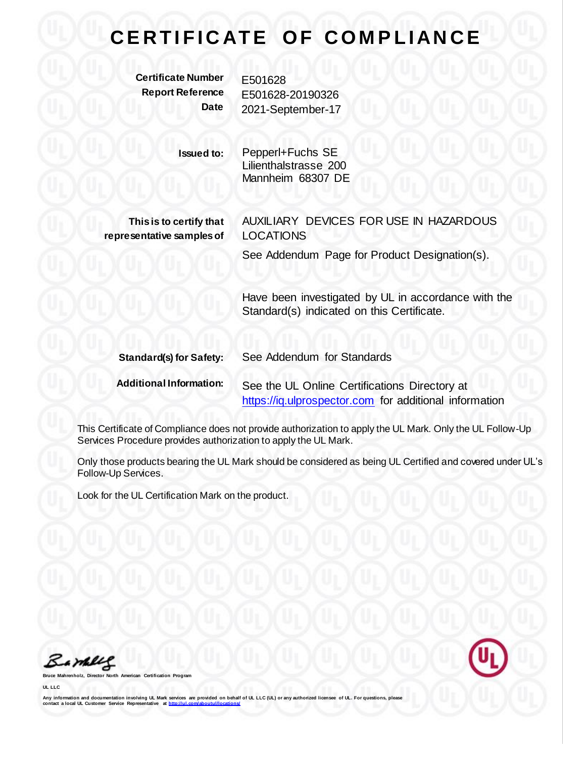## **CERTIFICATE OF COMPLIANCE**

**Certificate Number** E501628

**Report Reference** E501628-20190326 **Date** 2021-September-17

> **Issued to:** Pepperl+Fuchs SE Lilienthalstrasse 200 Mannheim 68307 DE

**This is to certify that representative samples of** AUXILIARY DEVICES FOR USE IN HAZARDOUS LOCATIONS

See Addendum Page for Product Designation(s).

Have been investigated by UL in accordance with the Standard(s) indicated on this Certificate.

| <b>Standard(s) for Safety:</b> | See Addendum for Standards                             |
|--------------------------------|--------------------------------------------------------|
| <b>Additional Information:</b> | See the UL Online Certifications Directory at          |
|                                | https://iq.ulprospector.com for additional information |

This Certificate of Compliance does not provide authorization to apply the UL Mark. Only the UL Follow-Up Services Procedure provides authorization to apply the UL Mark.

Only those products bearing the UL Mark should be considered as being UL Certified and covered under UL's Follow-Up Services.

Look for the UL Certification Mark on the product.

Bamelle

**Bruce Mahrenholz, Director North American Certification Program**

**UL LLC**

Any information and documentation involving UL Mark services are provided on behalf of UL LLC (UL) or any authorized licensee of UL. For questions, please<br>contact a local UL Customer Service Representative at http://ul.com